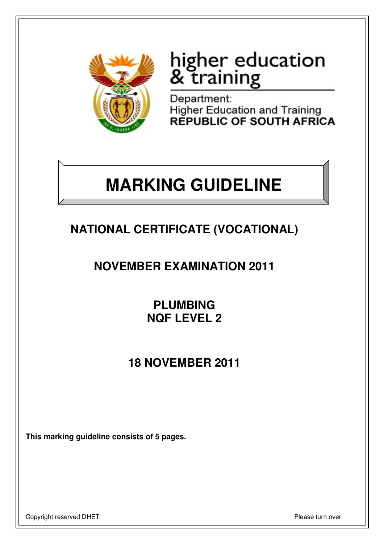

# higher education<br>& training

Department: Higher Education and Training<br>REPUBLIC OF SOUTH AFRICA

## **MARKING GUIDELINE**

## **NATIONAL CERTIFICATE (VOCATIONAL)**

### **NOVEMBER EXAMINATION 2011**

**PLUMBING NQF LEVEL 2**

## **18 NOVEMBER 2011**

**This marking guideline consists of 5 pages.** 

Copyright reserved DHET **Please turn over the Copyright reserved DHET Please turn over**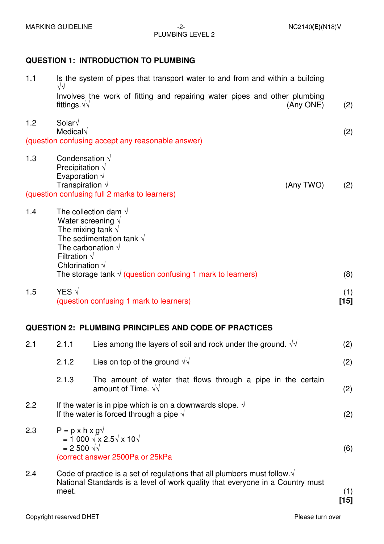#### **QUESTION 1: INTRODUCTION TO PLUMBING**

| 1.1                                                                                    | Is the system of pipes that transport water to and from and within a building<br>$\sqrt{\sqrt{2}}$                                                                                                                                                                                  |                                                                                            |     |
|----------------------------------------------------------------------------------------|-------------------------------------------------------------------------------------------------------------------------------------------------------------------------------------------------------------------------------------------------------------------------------------|--------------------------------------------------------------------------------------------|-----|
|                                                                                        | fittings. $\sqrt{\sqrt{2}}$                                                                                                                                                                                                                                                         | Involves the work of fitting and repairing water pipes and other plumbing<br>(Any ONE)     | (2) |
| 1.2                                                                                    | Solar $\sqrt$<br>Medical $\sqrt$                                                                                                                                                                                                                                                    |                                                                                            |     |
| (question confusing accept any reasonable answer)                                      |                                                                                                                                                                                                                                                                                     |                                                                                            |     |
| 1.3                                                                                    | Condensation $\sqrt{}$<br>Precipitation $\sqrt{ }$<br>Evaporation $\sqrt{}$                                                                                                                                                                                                         |                                                                                            |     |
| Transpiration $\sqrt{ }$<br>(Any TWO)<br>(question confusing full 2 marks to learners) |                                                                                                                                                                                                                                                                                     |                                                                                            |     |
| 1.4                                                                                    | The collection dam $\sqrt{ }$<br>Water screening $\sqrt{ }$<br>The mixing tank $\sqrt{ }$<br>The sedimentation tank $\sqrt{}$<br>The carbonation $\sqrt{ }$<br>Filtration $\sqrt{}$<br>Chlorination $\sqrt$<br>The storage tank $\sqrt{(q}$ (question confusing 1 mark to learners) |                                                                                            |     |
| 1.5                                                                                    | YES $\sqrt{ }$                                                                                                                                                                                                                                                                      |                                                                                            |     |
|                                                                                        | (question confusing 1 mark to learners)                                                                                                                                                                                                                                             |                                                                                            |     |
|                                                                                        |                                                                                                                                                                                                                                                                                     | <b>QUESTION 2: PLUMBING PRINCIPLES AND CODE OF PRACTICES</b>                               |     |
| 2.1                                                                                    | 2.1.1<br>Lies among the layers of soil and rock under the ground. $\sqrt{v}$                                                                                                                                                                                                        |                                                                                            | (2) |
|                                                                                        | 2.1.2                                                                                                                                                                                                                                                                               | Lies on top of the ground $\sqrt{v}$                                                       | (2) |
|                                                                                        | 2.1.3                                                                                                                                                                                                                                                                               | The amount of water that flows through a pipe in the certain<br>amount of Time. $\sqrt{v}$ | (2) |
| 2.2                                                                                    | If the water is in pipe which is on a downwards slope. $\sqrt{ }$<br>If the water is forced through a pipe $\sqrt{ }$                                                                                                                                                               |                                                                                            | (2) |
| 2.3                                                                                    | $P = p \times h \times g \sqrt{ }$<br>= 1 000 $\sqrt{x}$ 2.5 $\sqrt{x}$ 10 $\sqrt{x}$<br>$= 2500 \sqrt{x}$<br>(correct answer 2500Pa or 25kPa                                                                                                                                       |                                                                                            |     |
| 2.4                                                                                    | Code of practice is a set of regulations that all plumbers must follow. $\sqrt{ }$<br>National Standards is a level of work quality that everyone in a Country must<br>meet.                                                                                                        |                                                                                            |     |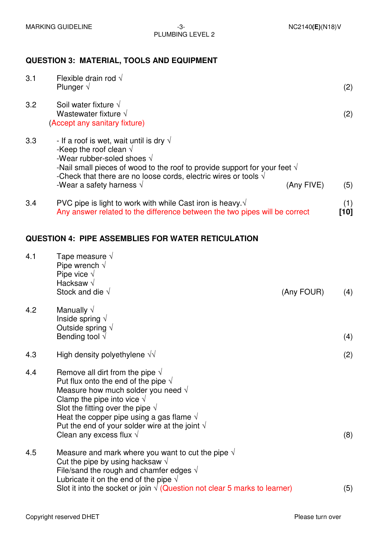#### **QUESTION 3: MATERIAL, TOOLS AND EQUIPMENT**

| Flexible drain rod $\sqrt{}$<br>Plunger $\sqrt$                                                                                                                                                                                                                                                                                                                                |                                                           | (2)                                                                                                                                                                                                                                                    |
|--------------------------------------------------------------------------------------------------------------------------------------------------------------------------------------------------------------------------------------------------------------------------------------------------------------------------------------------------------------------------------|-----------------------------------------------------------|--------------------------------------------------------------------------------------------------------------------------------------------------------------------------------------------------------------------------------------------------------|
| Soil water fixture $\sqrt{ }$<br>Wastewater fixture $\sqrt{}$<br>(Accept any sanitary fixture)                                                                                                                                                                                                                                                                                 |                                                           | (2)                                                                                                                                                                                                                                                    |
| - If a roof is wet, wait until is dry $\sqrt{ }$<br>-Keep the roof clean $\sqrt{ }$<br>-Wear rubber-soled shoes $\sqrt{ }$<br>-Check that there are no loose cords, electric wires or tools $\sqrt{ }$<br>-Wear a safety harness $\sqrt{ }$                                                                                                                                    | (Any FIVE)                                                | (5)                                                                                                                                                                                                                                                    |
| PVC pipe is light to work with while Cast iron is heavy $\sqrt{ }$                                                                                                                                                                                                                                                                                                             |                                                           | (1)<br>$[10]$                                                                                                                                                                                                                                          |
|                                                                                                                                                                                                                                                                                                                                                                                |                                                           |                                                                                                                                                                                                                                                        |
| Tape measure $\sqrt{ }$<br>Pipe wrench $\sqrt$<br>Pipe vice $\sqrt$<br>Hacksaw $\sqrt{}$<br>Stock and die $\sqrt{ }$                                                                                                                                                                                                                                                           | (Any FOUR)                                                | (4)                                                                                                                                                                                                                                                    |
| Manually $\sqrt{}$<br>Inside spring $\sqrt{}$<br>Outside spring $\sqrt{}$<br>Bending tool $\sqrt{ }$                                                                                                                                                                                                                                                                           |                                                           | (4)                                                                                                                                                                                                                                                    |
| High density polyethylene $\sqrt{\sqrt{2}}$                                                                                                                                                                                                                                                                                                                                    |                                                           | (2)                                                                                                                                                                                                                                                    |
| Remove all dirt from the pipe $\sqrt{ }$<br>Put flux onto the end of the pipe $\sqrt{ }$<br>Measure how much solder you need $\sqrt{ }$<br>Clamp the pipe into vice $\sqrt{ }$<br>Slot the fitting over the pipe $\sqrt{ }$<br>Heat the copper pipe using a gas flame $\sqrt{ }$<br>Put the end of your solder wire at the joint $\sqrt{ }$<br>Clean any excess flux $\sqrt{}$ |                                                           | (8)                                                                                                                                                                                                                                                    |
| Measure and mark where you want to cut the pipe $\sqrt{ }$<br>Cut the pipe by using hacksaw $\sqrt{ }$<br>File/sand the rough and chamfer edges $\sqrt{ }$<br>Lubricate it on the end of the pipe $\sqrt{}$                                                                                                                                                                    |                                                           | (5)                                                                                                                                                                                                                                                    |
|                                                                                                                                                                                                                                                                                                                                                                                | <b>QUESTION 4: PIPE ASSEMBLIES FOR WATER RETICULATION</b> | -Nail small pieces of wood to the roof to provide support for your feet $\sqrt{ }$<br>Any answer related to the difference between the two pipes will be correct<br>Slot it into the socket or join $\sqrt{ }$ (Question not clear 5 marks to learner) |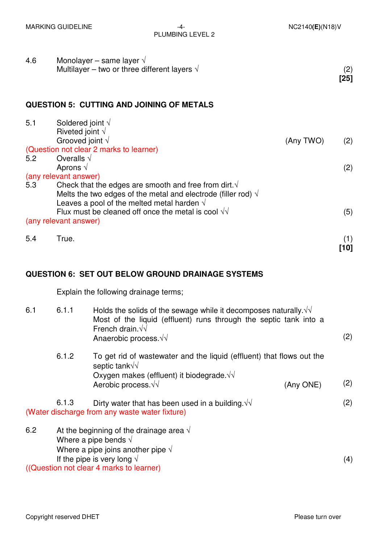PLUMBING LEVEL 2

| 4.6                   | Monolayer – same layer $\sqrt{ }$<br>Multilayer – two or three different layers $\sqrt{ }$                                                                                                      |           | (2)<br>$[25]$ |
|-----------------------|-------------------------------------------------------------------------------------------------------------------------------------------------------------------------------------------------|-----------|---------------|
|                       | <b>QUESTION 5: CUTTING AND JOINING OF METALS</b>                                                                                                                                                |           |               |
| 5.1                   | Soldered joint $\sqrt{}$<br>Riveted joint $\sqrt{}$                                                                                                                                             |           |               |
|                       | Grooved joint $\sqrt{}$<br>(Question not clear 2 marks to learner)                                                                                                                              | (Any TWO) | (2)           |
| 5.2                   | Overalls $\sqrt{}$                                                                                                                                                                              |           |               |
|                       | Aprons $\sqrt{}$                                                                                                                                                                                |           | (2)           |
| (any relevant answer) |                                                                                                                                                                                                 |           |               |
| 5.3                   | Check that the edges are smooth and free from dirt. $\sqrt{ }$<br>Melts the two edges of the metal and electrode (filler rod) $\sqrt{ }$<br>Leaves a pool of the melted metal harden $\sqrt{ }$ |           |               |
|                       | Flux must be cleaned off once the metal is cool $\sqrt{v}$                                                                                                                                      |           | (5)           |
| (any relevant answer) |                                                                                                                                                                                                 |           |               |
| 5.4                   | True.                                                                                                                                                                                           |           | (1)<br>[10]   |

#### **QUESTION 6: SET OUT BELOW GROUND DRAINAGE SYSTEMS**

Explain the following drainage terms;

| 6.1 | 6.1.1 | Holds the solids of the sewage while it decomposes naturally. $\sqrt{d}$<br>Most of the liquid (effluent) runs through the septic tank into a<br>French drain. $\sqrt{v}$<br>Anaerobic process. √ |           | (2) |
|-----|-------|---------------------------------------------------------------------------------------------------------------------------------------------------------------------------------------------------|-----------|-----|
|     | 6.1.2 | To get rid of wastewater and the liquid (effluent) that flows out the<br>septic tank √                                                                                                            |           |     |
|     |       | Oxygen makes (effluent) it biodegrade. $\sqrt{v}$                                                                                                                                                 |           |     |
|     |       | Aerobic process. $\sqrt{\sqrt{ }}$                                                                                                                                                                | (Any ONE) | (2) |
|     | 6.1.3 | Dirty water that has been used in a building. $\sqrt{v}$                                                                                                                                          |           | (2) |
|     |       | (Water discharge from any waste water fixture)                                                                                                                                                    |           |     |
| 6.2 |       | At the beginning of the drainage area $\sqrt{ }$<br>Where a pipe bends $\sqrt{ }$                                                                                                                 |           |     |
|     |       | Where a pipe joins another pipe $\sqrt{ }$                                                                                                                                                        |           |     |
|     |       | If the pipe is very long $\sqrt{ }$                                                                                                                                                               |           | (4) |
|     |       | (Question not clear 4 marks to learner)                                                                                                                                                           |           |     |